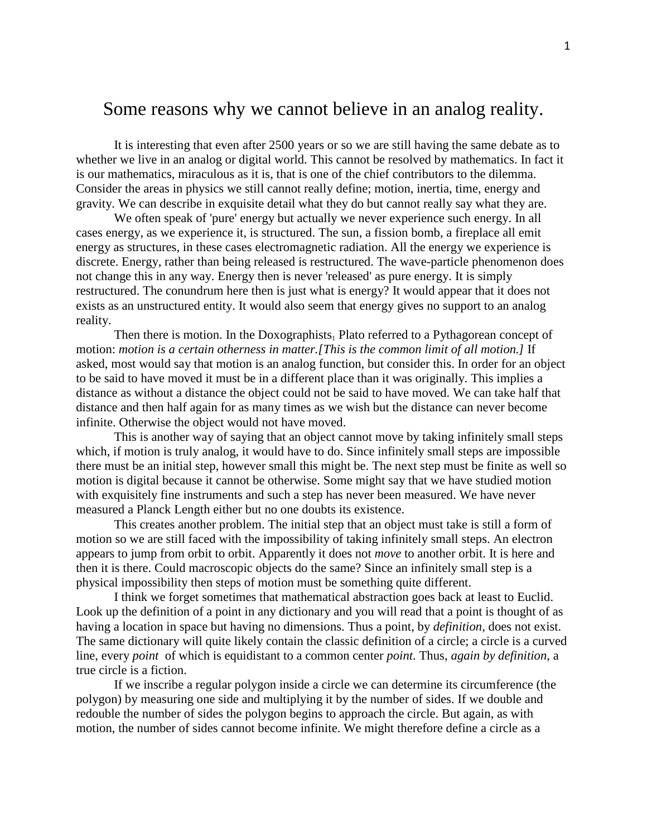## Some reasons why we cannot believe in an analog reality.

It is interesting that even after 2500 years or so we are still having the same debate as to whether we live in an analog or digital world. This cannot be resolved by mathematics. In fact it is our mathematics, miraculous as it is, that is one of the chief contributors to the dilemma. Consider the areas in physics we still cannot really define; motion, inertia, time, energy and gravity. We can describe in exquisite detail what they do but cannot really say what they are.

We often speak of 'pure' energy but actually we never experience such energy. In all cases energy, as we experience it, is structured. The sun, a fission bomb, a fireplace all emit energy as structures, in these cases electromagnetic radiation. All the energy we experience is discrete. Energy, rather than being released is restructured. The wave-particle phenomenon does not change this in any way. Energy then is never 'released' as pure energy. It is simply restructured. The conundrum here then is just what is energy? It would appear that it does not exists as an unstructured entity. It would also seem that energy gives no support to an analog reality.

Then there is motion. In the Doxographists<sub>1</sub> Plato referred to a Pythagorean concept of motion: *motion is a certain otherness in matter.[This is the common limit of all motion.]* If asked, most would say that motion is an analog function, but consider this. In order for an object to be said to have moved it must be in a different place than it was originally. This implies a distance as without a distance the object could not be said to have moved. We can take half that distance and then half again for as many times as we wish but the distance can never become infinite. Otherwise the object would not have moved.

This is another way of saying that an object cannot move by taking infinitely small steps which, if motion is truly analog, it would have to do. Since infinitely small steps are impossible there must be an initial step, however small this might be. The next step must be finite as well so motion is digital because it cannot be otherwise. Some might say that we have studied motion with exquisitely fine instruments and such a step has never been measured. We have never measured a Planck Length either but no one doubts its existence.

This creates another problem. The initial step that an object must take is still a form of motion so we are still faced with the impossibility of taking infinitely small steps. An electron appears to jump from orbit to orbit. Apparently it does not *move* to another orbit. It is here and then it is there. Could macroscopic objects do the same? Since an infinitely small step is a physical impossibility then steps of motion must be something quite different.

I think we forget sometimes that mathematical abstraction goes back at least to Euclid. Look up the definition of a point in any dictionary and you will read that a point is thought of as having a location in space but having no dimensions. Thus a point, by *definition,* does not exist. The same dictionary will quite likely contain the classic definition of a circle; a circle is a curved line, every *point* of which is equidistant to a common center *point*. Thus, *again by definition*, a true circle is a fiction.

If we inscribe a regular polygon inside a circle we can determine its circumference (the polygon) by measuring one side and multiplying it by the number of sides. If we double and redouble the number of sides the polygon begins to approach the circle. But again, as with motion, the number of sides cannot become infinite. We might therefore define a circle as a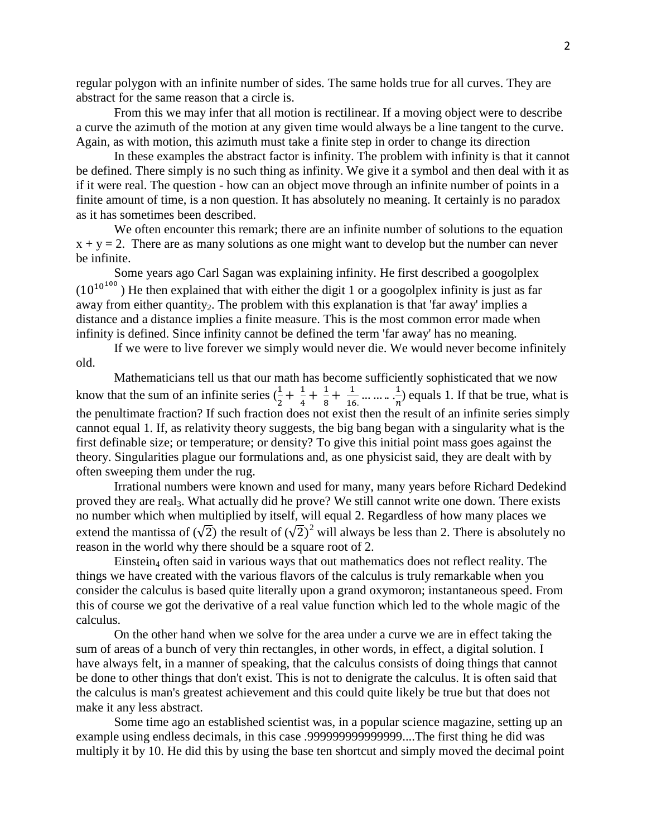regular polygon with an infinite number of sides. The same holds true for all curves. They are abstract for the same reason that a circle is.

From this we may infer that all motion is rectilinear. If a moving object were to describe a curve the azimuth of the motion at any given time would always be a line tangent to the curve. Again, as with motion, this azimuth must take a finite step in order to change its direction

In these examples the abstract factor is infinity. The problem with infinity is that it cannot be defined. There simply is no such thing as infinity. We give it a symbol and then deal with it as if it were real. The question - how can an object move through an infinite number of points in a finite amount of time, is a non question. It has absolutely no meaning. It certainly is no paradox as it has sometimes been described.

We often encounter this remark; there are an infinite number of solutions to the equation  $x + y = 2$ . There are as many solutions as one might want to develop but the number can never be infinite.

Some years ago Carl Sagan was explaining infinity. He first described a googolplex  $(10^{10^{100}})$  He then explained that with either the digit 1 or a googolplex infinity is just as far away from either quantity<sub>2</sub>. The problem with this explanation is that 'far away' implies a distance and a distance implies a finite measure. This is the most common error made when infinity is defined. Since infinity cannot be defined the term 'far away' has no meaning.

If we were to live forever we simply would never die. We would never become infinitely old.

Mathematicians tell us that our math has become sufficiently sophisticated that we now know that the sum of an infinite series  $(\frac{1}{2} + \frac{1}{4})$  $\frac{1}{4} + \frac{1}{8}$  $\frac{1}{8} + \frac{1}{16}$  $\frac{1}{16}$  ... ... ...  $\frac{1}{n}$  equals  $\frac{1}{n}$ ) equals 1. If that be true, what is the penultimate fraction? If such fraction does not exist then the result of an infinite series simply cannot equal 1. If, as relativity theory suggests, the big bang began with a singularity what is the first definable size; or temperature; or density? To give this initial point mass goes against the theory. Singularities plague our formulations and, as one physicist said, they are dealt with by often sweeping them under the rug.

Irrational numbers were known and used for many, many years before Richard Dedekind proved they are real3. What actually did he prove? We still cannot write one down. There exists no number which when multiplied by itself, will equal 2. Regardless of how many places we extend the mantissa of  $(\sqrt{2})$  the result of  $(\sqrt{2})^2$  will always be less than 2. There is absolutely no reason in the world why there should be a square root of 2.

Einstein<sup>4</sup> often said in various ways that out mathematics does not reflect reality. The things we have created with the various flavors of the calculus is truly remarkable when you consider the calculus is based quite literally upon a grand oxymoron; instantaneous speed. From this of course we got the derivative of a real value function which led to the whole magic of the calculus.

On the other hand when we solve for the area under a curve we are in effect taking the sum of areas of a bunch of very thin rectangles, in other words, in effect, a digital solution. I have always felt, in a manner of speaking, that the calculus consists of doing things that cannot be done to other things that don't exist. This is not to denigrate the calculus. It is often said that the calculus is man's greatest achievement and this could quite likely be true but that does not make it any less abstract.

Some time ago an established scientist was, in a popular science magazine, setting up an example using endless decimals, in this case .999999999999999....The first thing he did was multiply it by 10. He did this by using the base ten shortcut and simply moved the decimal point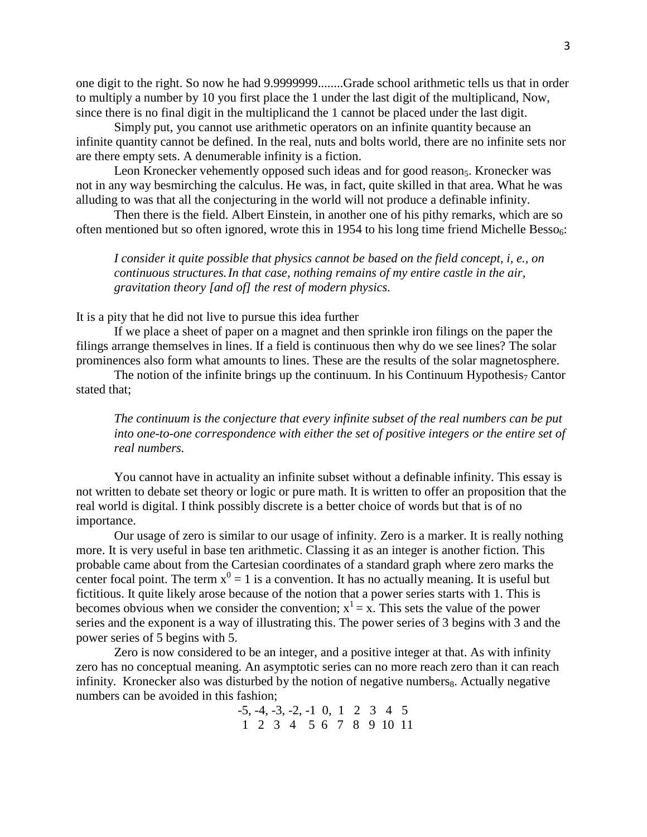one digit to the right. So now he had 9.9999999........Grade school arithmetic tells us that in order to multiply a number by 10 you first place the 1 under the last digit of the multiplicand, Now, since there is no final digit in the multiplicand the 1 cannot be placed under the last digit.

Simply put, you cannot use arithmetic operators on an infinite quantity because an infinite quantity cannot be defined. In the real, nuts and bolts world, there are no infinite sets nor are there empty sets. A denumerable infinity is a fiction.

Leon Kronecker vehemently opposed such ideas and for good reason<sub>5</sub>. Kronecker was not in any way besmirching the calculus. He was, in fact, quite skilled in that area. What he was alluding to was that all the conjecturing in the world will not produce a definable infinity.

Then there is the field. Albert Einstein, in another one of his pithy remarks, which are so often mentioned but so often ignored, wrote this in 1954 to his long time friend Michelle Besso<sub>6</sub>:

*I consider it quite possible that physics cannot be based on the field concept, i, e., on continuous structures.In that case, nothing remains of my entire castle in the air, gravitation theory [and of] the rest of modern physics.*

It is a pity that he did not live to pursue this idea further

If we place a sheet of paper on a magnet and then sprinkle iron filings on the paper the filings arrange themselves in lines. If a field is continuous then why do we see lines? The solar prominences also form what amounts to lines. These are the results of the solar magnetosphere.

The notion of the infinite brings up the continuum. In his Continuum Hypothesis<sub>7</sub> Cantor stated that;

*The continuum is the conjecture that every infinite subset of the real numbers can be put into one-to-one correspondence with either the set of positive integers or the entire set of real numbers.*

You cannot have in actuality an infinite subset without a definable infinity. This essay is not written to debate set theory or logic or pure math. It is written to offer an proposition that the real world is digital. I think possibly discrete is a better choice of words but that is of no importance.

Our usage of zero is similar to our usage of infinity. Zero is a marker. It is really nothing more. It is very useful in base ten arithmetic. Classing it as an integer is another fiction. This probable came about from the Cartesian coordinates of a standard graph where zero marks the center focal point. The term  $x^0 = 1$  is a convention. It has no actually meaning. It is useful but fictitious. It quite likely arose because of the notion that a power series starts with 1. This is becomes obvious when we consider the convention;  $x^1 = x$ . This sets the value of the power series and the exponent is a way of illustrating this. The power series of 3 begins with 3 and the power series of 5 begins with 5.

Zero is now considered to be an integer, and a positive integer at that. As with infinity zero has no conceptual meaning. An asymptotic series can no more reach zero than it can reach infinity. Kronecker also was disturbed by the notion of negative numbers<sub>8</sub>. Actually negative numbers can be avoided in this fashion;

> -5, -4, -3, -2, -1 0, 1 2 3 4 5 1 2 3 4 5 6 7 8 9 10 11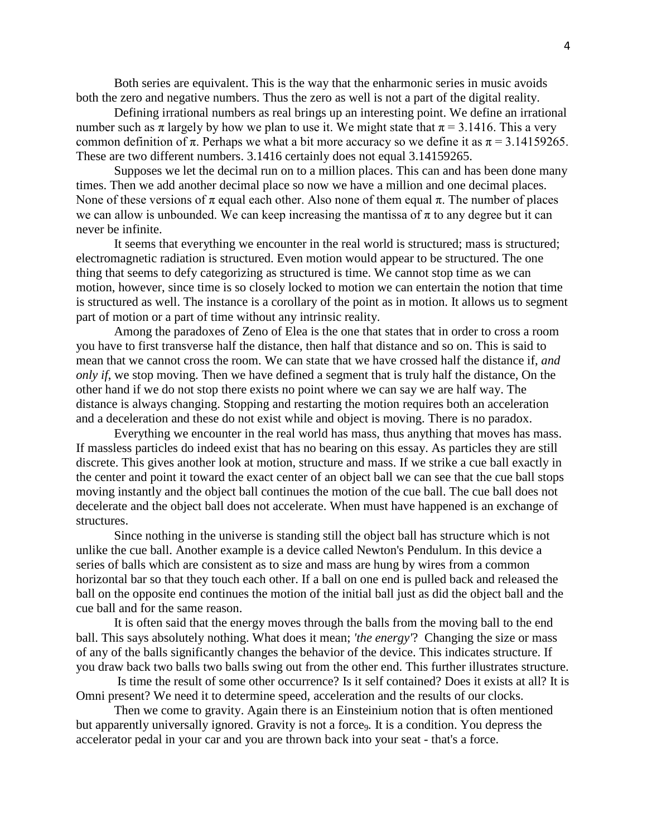Both series are equivalent. This is the way that the enharmonic series in music avoids both the zero and negative numbers. Thus the zero as well is not a part of the digital reality.

Defining irrational numbers as real brings up an interesting point. We define an irrational number such as  $\pi$  largely by how we plan to use it. We might state that  $\pi$  = 3.1416. This a very common definition of  $\pi$ . Perhaps we what a bit more accuracy so we define it as  $\pi = 3.14159265$ . These are two different numbers. 3.1416 certainly does not equal 3.14159265.

Supposes we let the decimal run on to a million places. This can and has been done many times. Then we add another decimal place so now we have a million and one decimal places. None of these versions of  $\pi$  equal each other. Also none of them equal  $\pi$ . The number of places we can allow is unbounded. We can keep increasing the mantissa of  $\pi$  to any degree but it can never be infinite.

It seems that everything we encounter in the real world is structured; mass is structured; electromagnetic radiation is structured. Even motion would appear to be structured. The one thing that seems to defy categorizing as structured is time. We cannot stop time as we can motion, however, since time is so closely locked to motion we can entertain the notion that time is structured as well. The instance is a corollary of the point as in motion. It allows us to segment part of motion or a part of time without any intrinsic reality.

Among the paradoxes of Zeno of Elea is the one that states that in order to cross a room you have to first transverse half the distance, then half that distance and so on. This is said to mean that we cannot cross the room. We can state that we have crossed half the distance if, *and only if*, we stop moving. Then we have defined a segment that is truly half the distance, On the other hand if we do not stop there exists no point where we can say we are half way. The distance is always changing. Stopping and restarting the motion requires both an acceleration and a deceleration and these do not exist while and object is moving. There is no paradox.

Everything we encounter in the real world has mass, thus anything that moves has mass. If massless particles do indeed exist that has no bearing on this essay. As particles they are still discrete. This gives another look at motion, structure and mass. If we strike a cue ball exactly in the center and point it toward the exact center of an object ball we can see that the cue ball stops moving instantly and the object ball continues the motion of the cue ball. The cue ball does not decelerate and the object ball does not accelerate. When must have happened is an exchange of structures.

Since nothing in the universe is standing still the object ball has structure which is not unlike the cue ball. Another example is a device called Newton's Pendulum. In this device a series of balls which are consistent as to size and mass are hung by wires from a common horizontal bar so that they touch each other. If a ball on one end is pulled back and released the ball on the opposite end continues the motion of the initial ball just as did the object ball and the cue ball and for the same reason.

It is often said that the energy moves through the balls from the moving ball to the end ball. This says absolutely nothing. What does it mean; *'the energy'*? Changing the size or mass of any of the balls significantly changes the behavior of the device. This indicates structure. If you draw back two balls two balls swing out from the other end. This further illustrates structure.

Is time the result of some other occurrence? Is it self contained? Does it exists at all? It is Omni present? We need it to determine speed, acceleration and the results of our clocks.

Then we come to gravity. Again there is an Einsteinium notion that is often mentioned but apparently universally ignored. Gravity is not a force<sub>9</sub>. It is a condition. You depress the accelerator pedal in your car and you are thrown back into your seat - that's a force.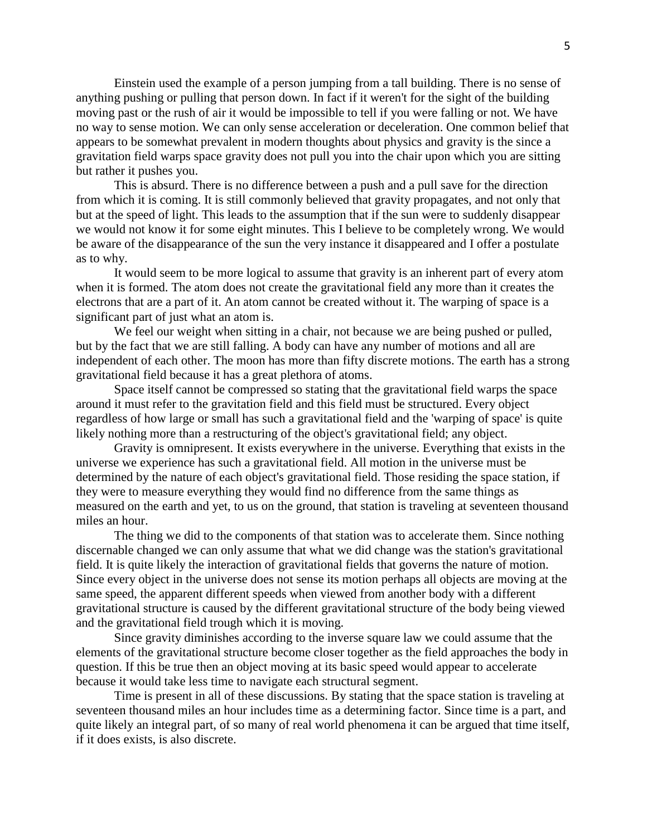Einstein used the example of a person jumping from a tall building. There is no sense of anything pushing or pulling that person down. In fact if it weren't for the sight of the building moving past or the rush of air it would be impossible to tell if you were falling or not. We have no way to sense motion. We can only sense acceleration or deceleration. One common belief that appears to be somewhat prevalent in modern thoughts about physics and gravity is the since a gravitation field warps space gravity does not pull you into the chair upon which you are sitting but rather it pushes you.

This is absurd. There is no difference between a push and a pull save for the direction from which it is coming. It is still commonly believed that gravity propagates, and not only that but at the speed of light. This leads to the assumption that if the sun were to suddenly disappear we would not know it for some eight minutes. This I believe to be completely wrong. We would be aware of the disappearance of the sun the very instance it disappeared and I offer a postulate as to why.

It would seem to be more logical to assume that gravity is an inherent part of every atom when it is formed. The atom does not create the gravitational field any more than it creates the electrons that are a part of it. An atom cannot be created without it. The warping of space is a significant part of just what an atom is.

We feel our weight when sitting in a chair, not because we are being pushed or pulled, but by the fact that we are still falling. A body can have any number of motions and all are independent of each other. The moon has more than fifty discrete motions. The earth has a strong gravitational field because it has a great plethora of atoms.

Space itself cannot be compressed so stating that the gravitational field warps the space around it must refer to the gravitation field and this field must be structured. Every object regardless of how large or small has such a gravitational field and the 'warping of space' is quite likely nothing more than a restructuring of the object's gravitational field; any object.

Gravity is omnipresent. It exists everywhere in the universe. Everything that exists in the universe we experience has such a gravitational field. All motion in the universe must be determined by the nature of each object's gravitational field. Those residing the space station, if they were to measure everything they would find no difference from the same things as measured on the earth and yet, to us on the ground, that station is traveling at seventeen thousand miles an hour.

The thing we did to the components of that station was to accelerate them. Since nothing discernable changed we can only assume that what we did change was the station's gravitational field. It is quite likely the interaction of gravitational fields that governs the nature of motion. Since every object in the universe does not sense its motion perhaps all objects are moving at the same speed, the apparent different speeds when viewed from another body with a different gravitational structure is caused by the different gravitational structure of the body being viewed and the gravitational field trough which it is moving.

Since gravity diminishes according to the inverse square law we could assume that the elements of the gravitational structure become closer together as the field approaches the body in question. If this be true then an object moving at its basic speed would appear to accelerate because it would take less time to navigate each structural segment.

Time is present in all of these discussions. By stating that the space station is traveling at seventeen thousand miles an hour includes time as a determining factor. Since time is a part, and quite likely an integral part, of so many of real world phenomena it can be argued that time itself, if it does exists, is also discrete.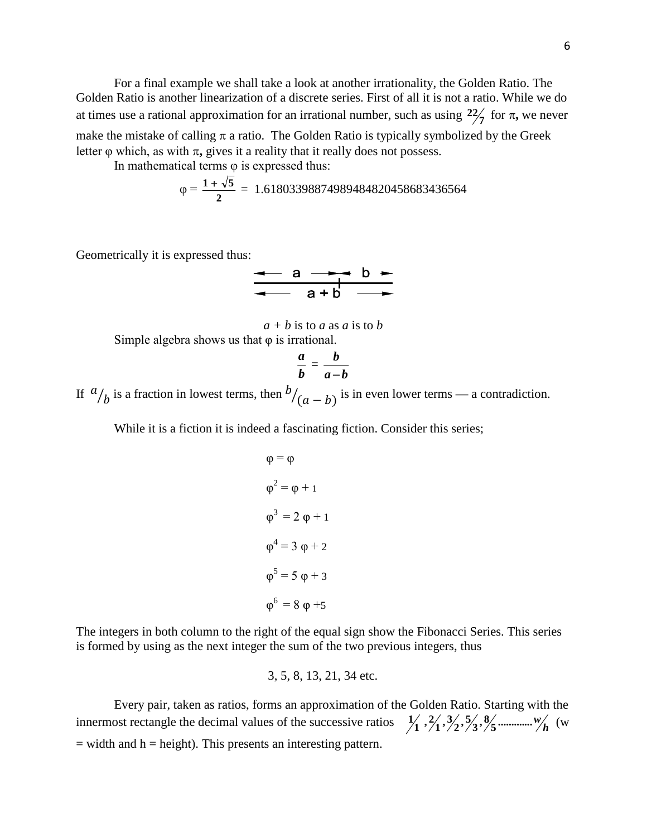For a final example we shall take a look at another irrationality, the Golden Ratio. The Golden Ratio is another linearization of a discrete series. First of all it is not a ratio. While we do at times use a rational approximation for an irrational number, such as using  $\frac{22}{7}$  for  $\pi$ , we never make the mistake of calling  $\pi$  a ratio. The Golden Ratio is typically symbolized by the Greek letter  $\varphi$  which, as with  $\pi$ , gives it a reality that it really does not possess.

In mathematical terms φ is expressed thus:

$$
\varphi = \frac{1 + \sqrt{5}}{2} = 1.61803398874989484820458683436564
$$

Geometrically it is expressed thus:

$$
\begin{array}{c|c}\n\leftarrow & a \rightarrow b \\
\hline\n\leftarrow & a+b \rightarrow\n\end{array}
$$

$$
a + b
$$
 is to *a* as *a* is to *b*  
Simple algebra shows us that  $\varphi$  is irrational.

$$
\frac{a}{b}=\frac{b}{a-b}
$$

If  $\alpha$  $\frac{b}{b}$  is a fraction in lowest terms, then  $\frac{b}{a-b}$  is in even lower terms — a contradiction.

While it is a fiction it is indeed a fascinating fiction. Consider this series;

$$
\varphi = \varphi
$$
  
\n
$$
\varphi^2 = \varphi + 1
$$
  
\n
$$
\varphi^3 = 2 \varphi + 1
$$
  
\n
$$
\varphi^4 = 3 \varphi + 2
$$
  
\n
$$
\varphi^5 = 5 \varphi + 3
$$
  
\n
$$
\varphi^6 = 8 \varphi + 5
$$

The integers in both column to the right of the equal sign show the Fibonacci Series. This series is formed by using as the next integer the sum of the two previous integers, thus

3, 5, 8, 13, 21, 34 etc.

Every pair, taken as ratios, forms an approximation of the Golden Ratio. Starting with the innermost rectangle the decimal values of the successive ratios *<sup>h</sup>* **.............** *w* **5 8, 3 5, 2 3, 1 2, 1 1** (w  $=$  width and  $h =$  height). This presents an interesting pattern.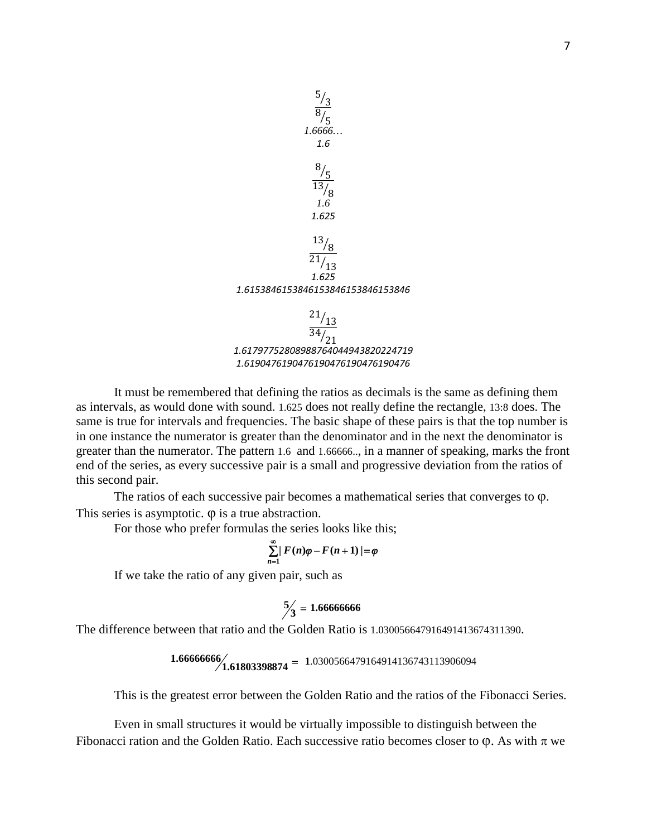

It must be remembered that defining the ratios as decimals is the same as defining them as intervals, as would done with sound. 1.625 does not really define the rectangle, 13:8 does. The same is true for intervals and frequencies. The basic shape of these pairs is that the top number is in one instance the numerator is greater than the denominator and in the next the denominator is greater than the numerator. The pattern 1.6 and 1.66666.., in a manner of speaking, marks the front end of the series, as every successive pair is a small and progressive deviation from the ratios of this second pair.

The ratios of each successive pair becomes a mathematical series that converges to φ. This series is asymptotic.  $\varphi$  is a true abstraction.

For those who prefer formulas the series looks like this;

$$
\sum_{n=1}^{\infty} |F(n)\varphi - F(n+1)| = \varphi
$$

If we take the ratio of any given pair, such as

$$
\frac{5}{3} = 1.666666666
$$

The difference between that ratio and the Golden Ratio is 1.030056647916491413674311390.

$$
1.66666666/1.61803398874 = 1.0300566479164914136743113906094
$$

This is the greatest error between the Golden Ratio and the ratios of the Fibonacci Series.

Even in small structures it would be virtually impossible to distinguish between the Fibonacci ration and the Golden Ratio. Each successive ratio becomes closer to  $\varphi$ . As with  $\pi$  we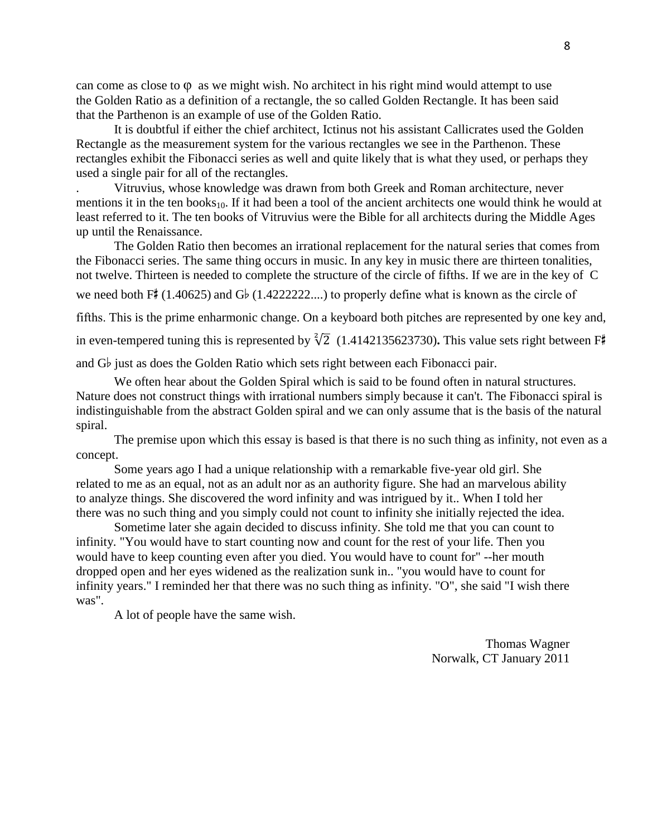can come as close to  $\varphi$  as we might wish. No architect in his right mind would attempt to use the Golden Ratio as a definition of a rectangle, the so called Golden Rectangle. It has been said that the Parthenon is an example of use of the Golden Ratio.

It is doubtful if either the chief architect, Ictinus not his assistant Callicrates used the Golden Rectangle as the measurement system for the various rectangles we see in the Parthenon. These rectangles exhibit the Fibonacci series as well and quite likely that is what they used, or perhaps they used a single pair for all of the rectangles.

. Vitruvius, whose knowledge was drawn from both Greek and Roman architecture, never mentions it in the ten books $_{10}$ . If it had been a tool of the ancient architects one would think he would at least referred to it. The ten books of Vitruvius were the Bible for all architects during the Middle Ages up until the Renaissance.

The Golden Ratio then becomes an irrational replacement for the natural series that comes from the Fibonacci series. The same thing occurs in music. In any key in music there are thirteen tonalities, not twelve. Thirteen is needed to complete the structure of the circle of fifths. If we are in the key of C we need both  $F''(1.40625)$  and  $G'_p(1.4222222...)$  to properly define what is known as the circle of

fifths. This is the prime enharmonic change. On a keyboard both pitches are represented by one key and,

in even-tempered tuning this is represented by  $\sqrt[2]{2}$  (1.4142135623730). This value sets right between F#

and  $G_{\nu}$  just as does the Golden Ratio which sets right between each Fibonacci pair.

We often hear about the Golden Spiral which is said to be found often in natural structures. Nature does not construct things with irrational numbers simply because it can't. The Fibonacci spiral is indistinguishable from the abstract Golden spiral and we can only assume that is the basis of the natural spiral.

The premise upon which this essay is based is that there is no such thing as infinity, not even as a concept.

Some years ago I had a unique relationship with a remarkable five-year old girl. She related to me as an equal, not as an adult nor as an authority figure. She had an marvelous ability to analyze things. She discovered the word infinity and was intrigued by it.. When I told her there was no such thing and you simply could not count to infinity she initially rejected the idea.

Sometime later she again decided to discuss infinity. She told me that you can count to infinity. "You would have to start counting now and count for the rest of your life. Then you would have to keep counting even after you died. You would have to count for" --her mouth dropped open and her eyes widened as the realization sunk in.. "you would have to count for infinity years." I reminded her that there was no such thing as infinity. "O", she said "I wish there was".

A lot of people have the same wish.

Thomas Wagner Norwalk, CT January 2011